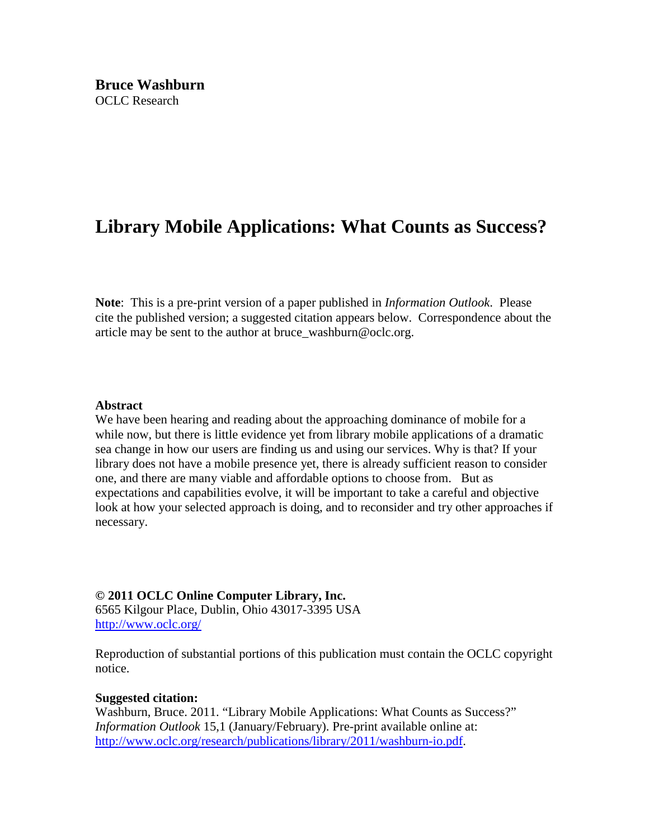# **Library Mobile Applications: What Counts as Success?**

**Note**: This is a pre-print version of a paper published in *Information Outlook*. Please cite the published version; a suggested citation appears below. Correspondence about the article may be sent to the author at bruce\_washburn@oclc.org.

#### **Abstract**

We have been hearing and reading about the approaching dominance of mobile for a while now, but there is little evidence yet from library mobile applications of a dramatic sea change in how our users are finding us and using our services. Why is that? If your library does not have a mobile presence yet, there is already sufficient reason to consider one, and there are many viable and affordable options to choose from. But as expectations and capabilities evolve, it will be important to take a careful and objective look at how your selected approach is doing, and to reconsider and try other approaches if necessary.

#### **© 2011 OCLC Online Computer Library, Inc.**

6565 Kilgour Place, Dublin, Ohio 43017-3395 USA <http://www.oclc.org/>

Reproduction of substantial portions of this publication must contain the OCLC copyright notice.

#### **Suggested citation:**

Washburn, Bruce. 2011. "Library Mobile Applications: What Counts as Success?" *Information Outlook* 15,1 (January/February). Pre-print available online at: [http://www.oclc.org/research/publications/library/2011/washburn-io.pdf.](http://www.oclc.org/research/publications/library/2011/washburn-io.pdf)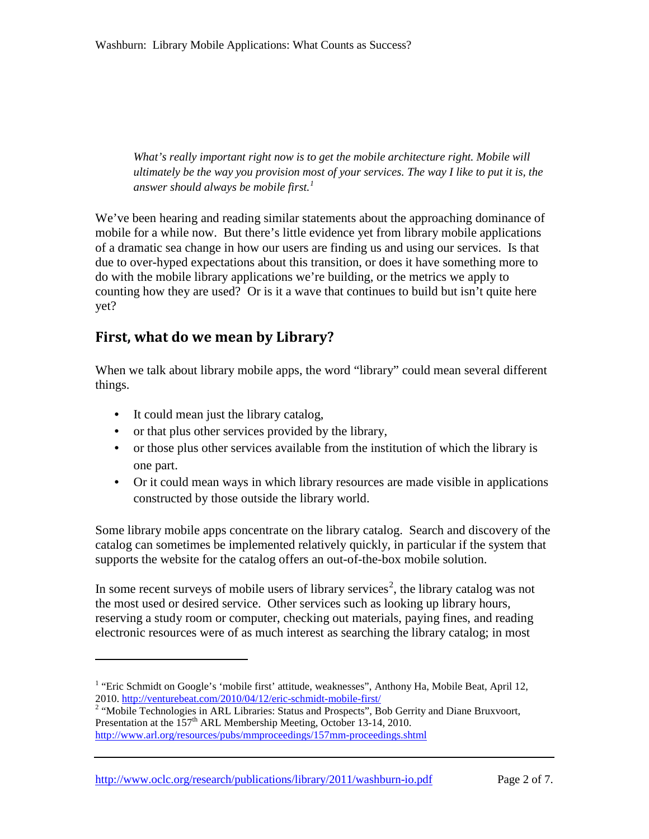*What's really important right now is to get the mobile architecture right. Mobile will ultimately be the way you provision most of your services. The way I like to put it is, the answer should always be mobile first.[1](#page-1-0)*

We've been hearing and reading similar statements about the approaching dominance of mobile for a while now. But there's little evidence yet from library mobile applications of a dramatic sea change in how our users are finding us and using our services. Is that due to over-hyped expectations about this transition, or does it have something more to do with the mobile library applications we're building, or the metrics we apply to counting how they are used? Or is it a wave that continues to build but isn't quite here yet?

### **First, what do we mean by Library?**

When we talk about library mobile apps, the word "library" could mean several different things.

• It could mean just the library catalog,

 $\overline{a}$ 

- or that plus other services provided by the library,
- or those plus other services available from the institution of which the library is one part.
- Or it could mean ways in which library resources are made visible in applications constructed by those outside the library world.

Some library mobile apps concentrate on the library catalog. Search and discovery of the catalog can sometimes be implemented relatively quickly, in particular if the system that supports the website for the catalog offers an out-of-the-box mobile solution.

In some recent surveys of mobile users of library services<sup>[2](#page-1-1)</sup>, the library catalog was not the most used or desired service. Other services such as looking up library hours, reserving a study room or computer, checking out materials, paying fines, and reading electronic resources were of as much interest as searching the library catalog; in most

<http://www.oclc.org/research/publications/library/2011/washburn-io.pdf> Page 2 of 7.

<span id="page-1-0"></span><sup>&</sup>lt;sup>1</sup> "Eric Schmidt on Google's 'mobile first' attitude, weaknesses", Anthony Ha, Mobile Beat, April 12, 2010. http://venturebeat.com/2010/04/12/eric-schmidt-mobile-first/

<span id="page-1-1"></span><sup>&</sup>lt;sup>2</sup> "Mobile Technologies in ARL Libraries: Status and Prospects", Bob Gerrity and Diane Bruxvoort, Presentation at the 157<sup>th</sup> ARL Membership Meeting, October 13-14, 2010. <http://www.arl.org/resources/pubs/mmproceedings/157mm-proceedings.shtml>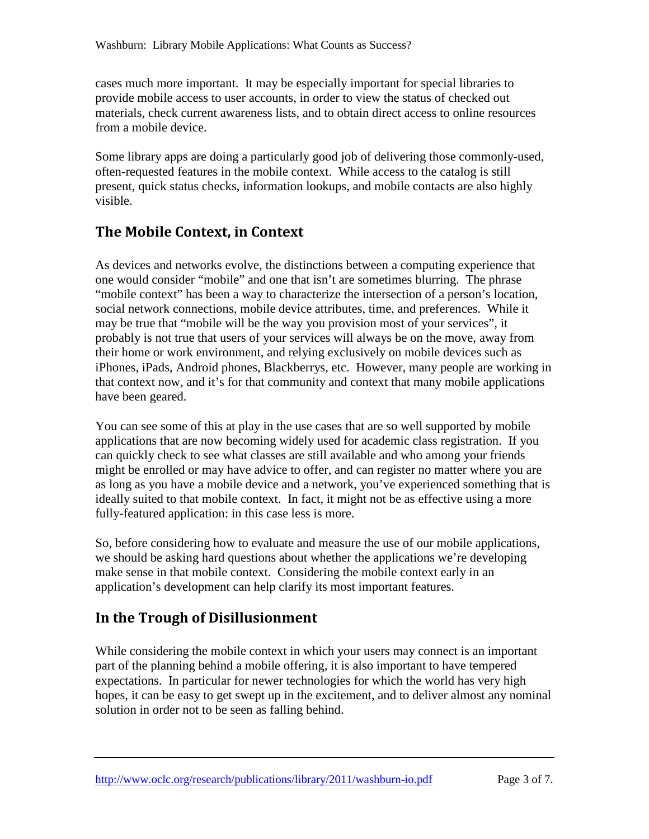cases much more important. It may be especially important for special libraries to provide mobile access to user accounts, in order to view the status of checked out materials, check current awareness lists, and to obtain direct access to online resources from a mobile device.

Some library apps are doing a particularly good job of delivering those commonly-used, often-requested features in the mobile context. While access to the catalog is still present, quick status checks, information lookups, and mobile contacts are also highly visible.

# **The Mobile Context, in Context**

As devices and networks evolve, the distinctions between a computing experience that one would consider "mobile" and one that isn't are sometimes blurring. The phrase "mobile context" has been a way to characterize the intersection of a person's location, social network connections, mobile device attributes, time, and preferences. While it may be true that "mobile will be the way you provision most of your services", it probably is not true that users of your services will always be on the move, away from their home or work environment, and relying exclusively on mobile devices such as iPhones, iPads, Android phones, Blackberrys, etc. However, many people are working in that context now, and it's for that community and context that many mobile applications have been geared.

You can see some of this at play in the use cases that are so well supported by mobile applications that are now becoming widely used for academic class registration. If you can quickly check to see what classes are still available and who among your friends might be enrolled or may have advice to offer, and can register no matter where you are as long as you have a mobile device and a network, you've experienced something that is ideally suited to that mobile context. In fact, it might not be as effective using a more fully-featured application: in this case less is more.

So, before considering how to evaluate and measure the use of our mobile applications, we should be asking hard questions about whether the applications we're developing make sense in that mobile context. Considering the mobile context early in an application's development can help clarify its most important features.

### **In the Trough of Disillusionment**

While considering the mobile context in which your users may connect is an important part of the planning behind a mobile offering, it is also important to have tempered expectations. In particular for newer technologies for which the world has very high hopes, it can be easy to get swept up in the excitement, and to deliver almost any nominal solution in order not to be seen as falling behind.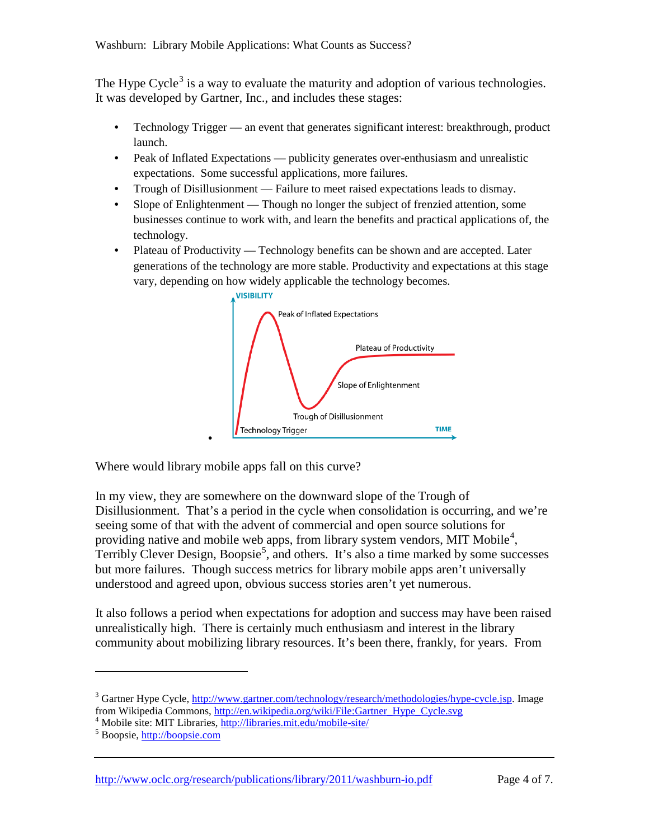The Hype Cycle<sup>[3](#page-3-0)</sup> is a way to evaluate the maturity and adoption of various technologies. It was developed by Gartner, Inc., and includes these stages:

- Technology Trigger an event that generates significant interest: breakthrough, product launch.
- Peak of Inflated Expectations publicity generates over-enthusiasm and unrealistic expectations. Some successful applications, more failures.
- Trough of Disillusionment Failure to meet raised expectations leads to dismay.
- Slope of Enlightenment Though no longer the subject of frenzied attention, some businesses continue to work with, and learn the benefits and practical applications of, the technology.
- Plateau of Productivity Technology benefits can be shown and are accepted. Later generations of the technology are more stable. Productivity and expectations at this stage vary, depending on how widely applicable the technology becomes.



Where would library mobile apps fall on this curve?

•

In my view, they are somewhere on the downward slope of the Trough of Disillusionment. That's a period in the cycle when consolidation is occurring, and we're seeing some of that with the advent of commercial and open source solutions for providing native and mobile web apps, from library system vendors, MIT Mobile<sup>[4](#page-3-1)</sup>, Terribly Clever Design, Boopsie<sup>[5](#page-3-2)</sup>, and others. It's also a time marked by some successes but more failures. Though success metrics for library mobile apps aren't universally understood and agreed upon, obvious success stories aren't yet numerous.

It also follows a period when expectations for adoption and success may have been raised unrealistically high. There is certainly much enthusiasm and interest in the library community about mobilizing library resources. It's been there, frankly, for years. From

 $\overline{a}$ 

<http://www.oclc.org/research/publications/library/2011/washburn-io.pdf> Page 4 of 7.

<span id="page-3-0"></span><sup>&</sup>lt;sup>3</sup> Gartner Hype Cycle, <u>http://www.gartner.com/technology/research/methodologies/hype-cycle.jsp</u>. Image from Wikipedia Commons, http://en.wikipedia.org/wiki/File:Gartner Hype Cycle.svg

<span id="page-3-1"></span><sup>&</sup>lt;sup>4</sup> Mobile site: MIT Libraries,  $\frac{http://libraries.mit.edu/mobile-site/5}$  Boopsie[, http://boopsie.com](http://boopsie.com/)

<span id="page-3-2"></span>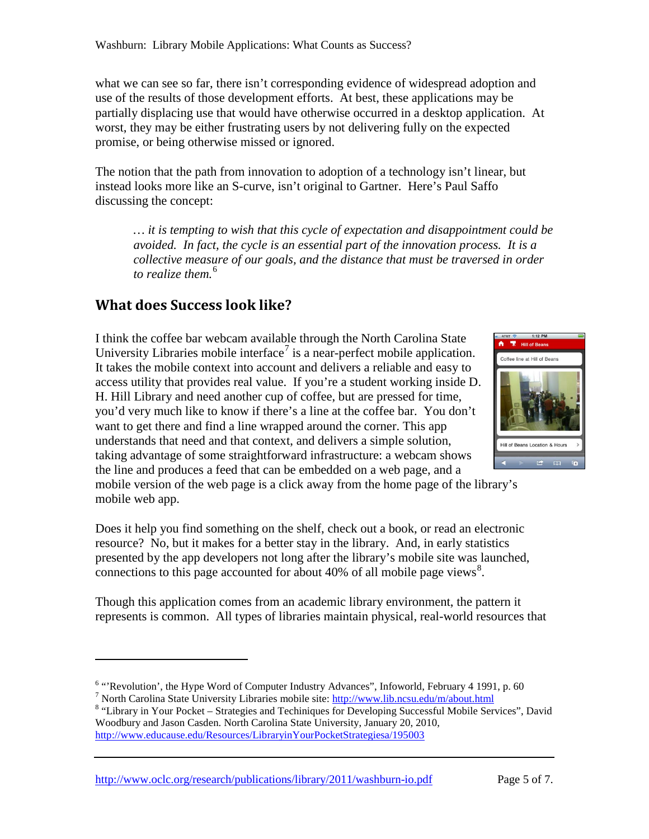what we can see so far, there isn't corresponding evidence of widespread adoption and use of the results of those development efforts. At best, these applications may be partially displacing use that would have otherwise occurred in a desktop application. At worst, they may be either frustrating users by not delivering fully on the expected promise, or being otherwise missed or ignored.

The notion that the path from innovation to adoption of a technology isn't linear, but instead looks more like an S-curve, isn't original to Gartner. Here's Paul Saffo discussing the concept:

*… it is tempting to wish that this cycle of expectation and disappointment could be avoided. In fact, the cycle is an essential part of the innovation process. It is a collective measure of our goals, and the distance that must be traversed in order to realize them.* [6](#page-4-0)

### **What does Success look like?**

 $\overline{a}$ 

I think the coffee bar webcam available through the North Carolina State University Libraries mobile interface<sup>[7](#page-4-1)</sup> is a near-perfect mobile application. It takes the mobile context into account and delivers a reliable and easy to access utility that provides real value. If you're a student working inside D. H. Hill Library and need another cup of coffee, but are pressed for time, you'd very much like to know if there's a line at the coffee bar. You don't want to get there and find a line wrapped around the corner. This app understands that need and that context, and delivers a simple solution, taking advantage of some straightforward infrastructure: a webcam shows the line and produces a feed that can be embedded on a web page, and a



mobile version of the web page is a click away from the home page of the library's mobile web app.

Does it help you find something on the shelf, check out a book, or read an electronic resource? No, but it makes for a better stay in the library. And, in early statistics presented by the app developers not long after the library's mobile site was launched, connections to this page accounted for about 40% of all mobile page views<sup>[8](#page-4-2)</sup>.

Though this application comes from an academic library environment, the pattern it represents is common. All types of libraries maintain physical, real-world resources that

<span id="page-4-2"></span> $8$  "Library in Your Pocket – Strategies and Techiniques for Developing Successful Mobile Services", David Woodbury and Jason Casden. North Carolina State University, January 20, 2010, <http://www.educause.edu/Resources/LibraryinYourPocketStrategiesa/195003>

<http://www.oclc.org/research/publications/library/2011/washburn-io.pdf> Page 5 of 7.

<span id="page-4-0"></span><sup>&</sup>lt;sup>6</sup> "'Revolution', the Hype Word of Computer Industry Advances'', Infoworld, February 4 1991, p. 60<sup>7</sup> North Carolina State University Libraries mobile site: http://www.lib.ncsu.edu/m/about.html

<span id="page-4-1"></span>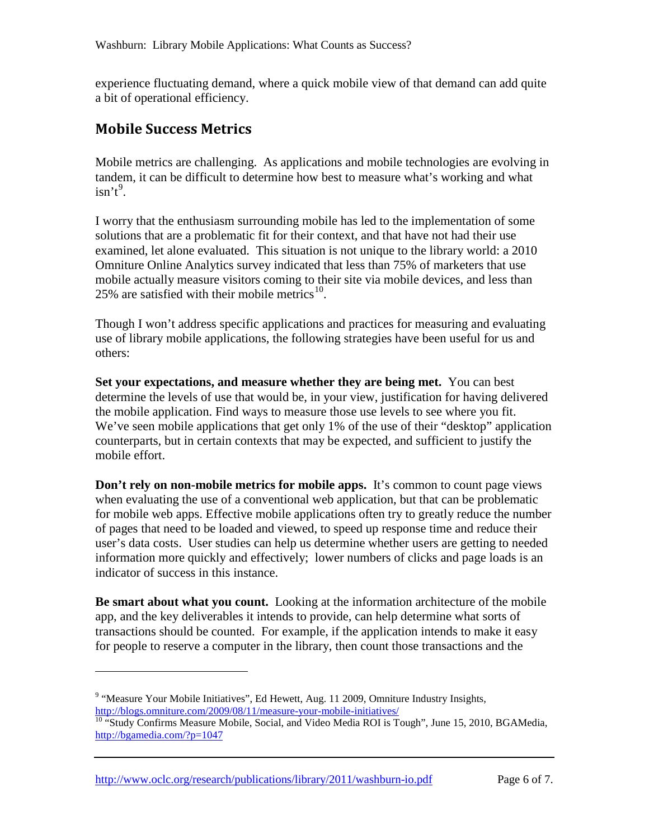experience fluctuating demand, where a quick mobile view of that demand can add quite a bit of operational efficiency.

# **Mobile Success Metrics**

 $\overline{a}$ 

Mobile metrics are challenging. As applications and mobile technologies are evolving in tandem, it can be difficult to determine how best to measure what's working and what  $isn't^9$  $isn't^9$ .

I worry that the enthusiasm surrounding mobile has led to the implementation of some solutions that are a problematic fit for their context, and that have not had their use examined, let alone evaluated. This situation is not unique to the library world: a 2010 Omniture Online Analytics survey indicated that less than 75% of marketers that use mobile actually measure visitors coming to their site via mobile devices, and less than 25% are satisfied with their mobile metrics $^{10}$  $^{10}$  $^{10}$ .

Though I won't address specific applications and practices for measuring and evaluating use of library mobile applications, the following strategies have been useful for us and others:

**Set your expectations, and measure whether they are being met.** You can best determine the levels of use that would be, in your view, justification for having delivered the mobile application. Find ways to measure those use levels to see where you fit. We've seen mobile applications that get only 1% of the use of their "desktop" application counterparts, but in certain contexts that may be expected, and sufficient to justify the mobile effort.

**Don't rely on non-mobile metrics for mobile apps.** It's common to count page views when evaluating the use of a conventional web application, but that can be problematic for mobile web apps. Effective mobile applications often try to greatly reduce the number of pages that need to be loaded and viewed, to speed up response time and reduce their user's data costs. User studies can help us determine whether users are getting to needed information more quickly and effectively; lower numbers of clicks and page loads is an indicator of success in this instance.

**Be smart about what you count.** Looking at the information architecture of the mobile app, and the key deliverables it intends to provide, can help determine what sorts of transactions should be counted. For example, if the application intends to make it easy for people to reserve a computer in the library, then count those transactions and the

<http://www.oclc.org/research/publications/library/2011/washburn-io.pdf> Page 6 of 7.

<span id="page-5-0"></span><sup>&</sup>lt;sup>9</sup> "Measure Your Mobile Initiatives", Ed Hewett, Aug. 11 2009, Omniture Industry Insights, <http://blogs.omniture.com/2009/08/11/measure-your-mobile-initiatives/><br><sup>10</sup> "Study Confirms Measure Mobile, Social, and Video Media ROI is Tough", June 15, 2010, BGAMedia,

<span id="page-5-1"></span><http://bgamedia.com/?p=1047>